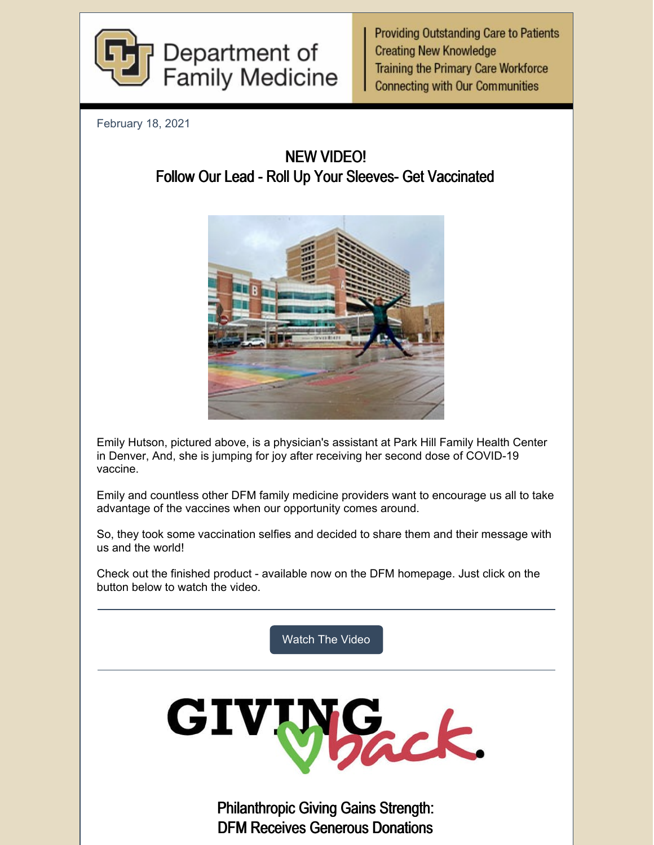

**Providing Outstanding Care to Patients Creating New Knowledge Training the Primary Care Workforce Connecting with Our Communities** 

February 18, 2021

NEW VIDEO! Follow Our Lead - Roll Up Your Sleeves- Get Vaccinated



Emily Hutson, pictured above, is a physician's assistant at Park Hill Family Health Center in Denver, And, she is jumping for joy after receiving her second dose of COVID-19 vaccine.

Emily and countless other DFM family medicine providers want to encourage us all to take advantage of the vaccines when our opportunity comes around.

So, they took some vaccination selfies and decided to share them and their message with us and the world!

Check out the finished product - available now on the DFM homepage. Just click on the button below to watch the video.

[Watch](https://medschool.cuanschutz.edu/family-medicine) The Video



Philanthropic Giving Gains Strength: DFM Receives Generous Donations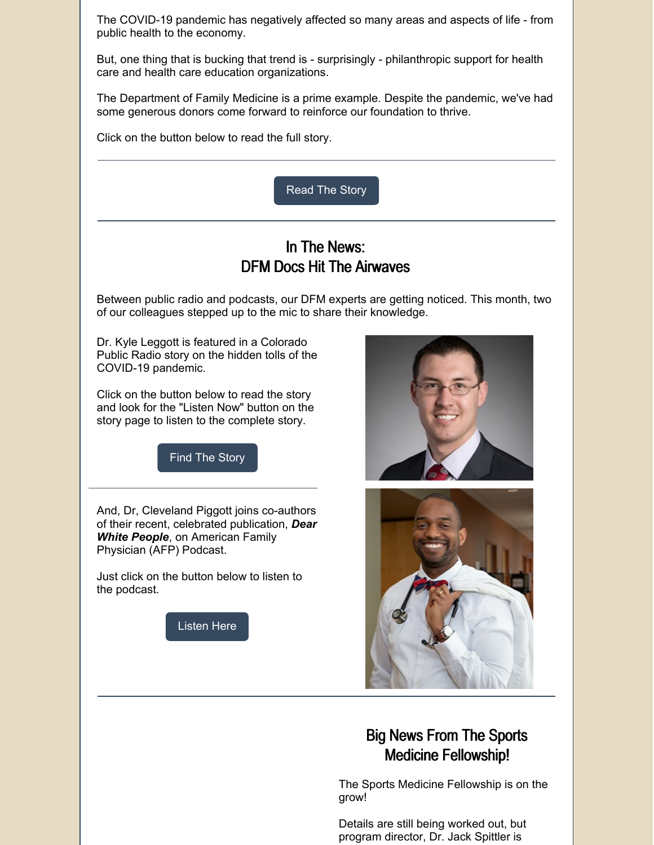The COVID-19 pandemic has negatively affected so many areas and aspects of life - from public health to the economy.

But, one thing that is bucking that trend is - surprisingly - philanthropic support for health care and health care education organizations.

The Department of Family Medicine is a prime example. Despite the pandemic, we've had some generous donors come forward to reinforce our foundation to thrive.

Click on the button below to read the full story.



## Big News From The Sports Medicine Fellowship!

The Sports Medicine Fellowship is on the grow!

Details are still being worked out, but program director, Dr. Jack Spittler is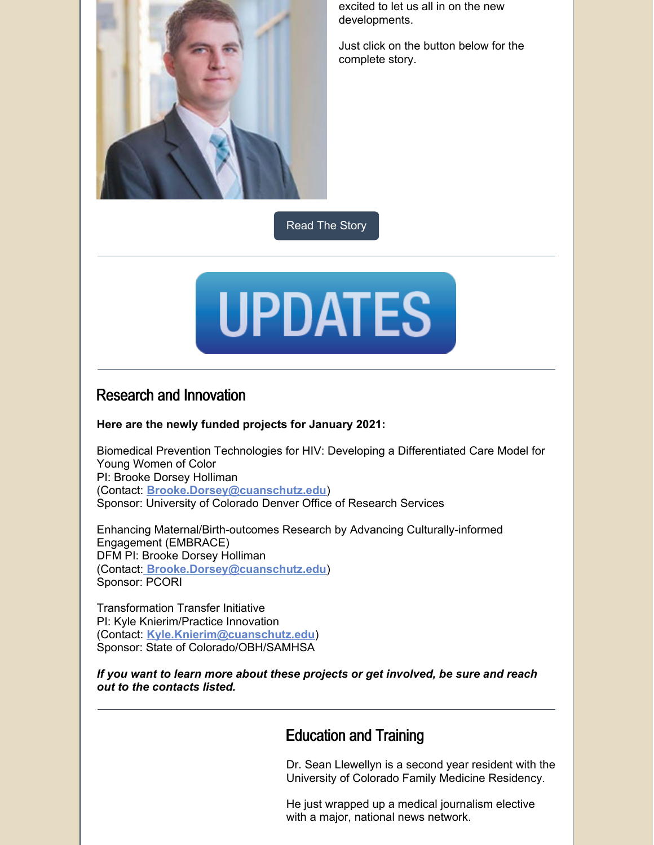

excited to let us all in on the new developments.

Just click on the button below for the complete story.

[Read](https://medschool.cuanschutz.edu/family-medicine/about/news/communication-hub/sports-medicine-fellowship-news) The Story



#### Research and Innovation

#### **Here are the newly funded projects for January 2021:**

Biomedical Prevention Technologies for HIV: Developing a Differentiated Care Model for Young Women of Color PI: Brooke Dorsey Holliman (Contact: **[Brooke.Dorsey@cuanschutz.edu](mailto:Brooke.Dorsey@cuanschutz.edu)**) Sponsor: University of Colorado Denver Office of Research Services

Enhancing Maternal/Birth-outcomes Research by Advancing Culturally-informed Engagement (EMBRACE) DFM PI: Brooke Dorsey Holliman (Contact: **[Brooke.Dorsey@cuanschutz.edu](mailto:Brooke.Dorsey@cuanschutz.edu)**) Sponsor: PCORI

Transformation Transfer Initiative PI: Kyle Knierim/Practice Innovation (Contact: **[Kyle.Knierim@cuanschutz.edu](http://Kyle.Knierim@cuanschutz.edu)**) Sponsor: State of Colorado/OBH/SAMHSA

*If you want to learn more about these projects or get involved, be sure and reach out to the contacts listed.*

### Education and Training

Dr. Sean Llewellyn is a second year resident with the University of Colorado Family Medicine Residency.

He just wrapped up a medical journalism elective with a major, national news network.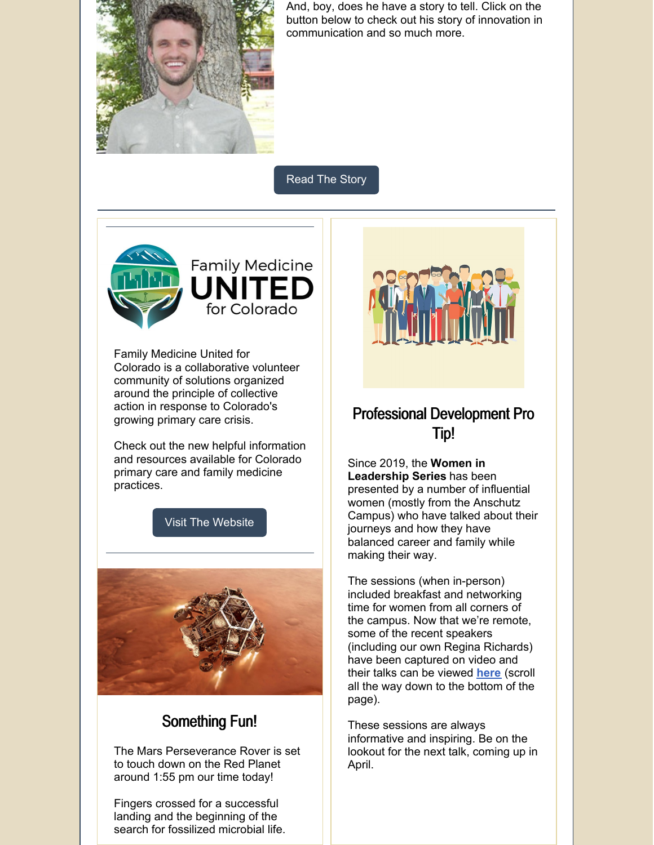

And, boy, does he have a story to tell. Click on the button below to check out his story of innovation in communication and so much more.

[Read](https://medschool.cuanschutz.edu/family-medicine/about/news/communication-hub/tiktok-doc) The Story



Family Medicine United for Colorado is a collaborative volunteer community of solutions organized around the principle of collective action in response to Colorado's growing primary care crisis.

Check out the new helpful information and resources available for Colorado primary care and family medicine practices.

Visit The [Website](https://medschool.cuanschutz.edu/family-medicine/community/family-medicine-united-for-colorado)



# Something Fun!

The Mars Perseverance Rover is set to touch down on the Red Planet around 1:55 pm our time today!

Fingers crossed for a successful landing and the beginning of the search for fossilized microbial life.



## Professional Development Pro Tip!

Since 2019, the **Women in Leadership Series** has been presented by a number of influential women (mostly from the Anschutz Campus) who have talked about their journeys and how they have balanced career and family while making their way.

The sessions (when in-person) included breakfast and networking time for women from all corners of the campus. Now that we're remote, some of the recent speakers (including our own Regina Richards) have been captured on video and their talks can be viewed **[here](https://www1.ucdenver.edu/offices/human-resources/learning-development/manager-development-resources)** (scroll all the way down to the bottom of the page).

These sessions are always informative and inspiring. Be on the lookout for the next talk, coming up in April.